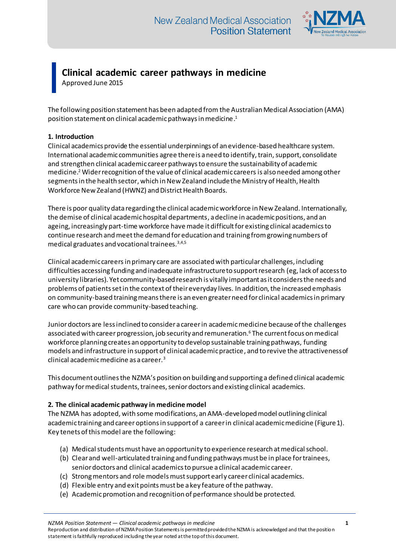

# **Clinical academic career pathways in medicine**

Approved June 2015

The following position statement has been adapted from the Australian Medical Association (AMA) position statement on clinical academic pathways in medicine. $^{\rm 1}$ 

# **1. Introduction**

Clinical academics provide the essential underpinnings of an evidence-based healthcare system. International academic communities agree there is a need to identify, train, support, consolidate and strengthen clinical academic career pathways to ensure the sustainability of academic medicine.<sup>2</sup> Wider recognition of the value of clinical academic careers is also needed among other segments in the health sector, which in New Zealand include the Ministry of Health, Health Workforce New Zealand (HWNZ) and District Health Boards.

There is poor quality data regarding the clinical academic workforce in New Zealand. Internationally, the demise of clinical academic hospital departments, a decline in academic positions, and an ageing, increasingly part-time workforce have made it difficult for existing clinical academics to continue research and meet the demand for education and training fromgrowing numbers of medical graduates and vocational trainees.  $3,4,5$ 

Clinical academic careers in primary care are associated with particular challenges, including difficulties accessing funding and inadequate infrastructure to support research (eg, lack of access to university libraries). Yet community-based research is vitally important as it considers the needs and problems of patients set in the context of their everyday lives. In addition, the increased emphasis on community-based training means there is an even greater need for clinical academics in primary care who can provide community-based teaching.

Juniordoctors are less inclined to consider a career in academic medicine because of the challenges associated with career progression, job security and remuneration.<sup>6</sup> The current focus on medical workforce planning creates an opportunity to develop sustainable training pathways, funding models and infrastructure in support of clinical academic practice, and to revive the attractiveness of clinical academic medicine as a career.<sup>3</sup>

This document outlines the NZMA's position on building and supporting a defined clinical academic pathway for medical students, trainees, senior doctors and existing clinical academics.

## **2. The clinical academic pathway in medicine model**

The NZMA has adopted, with some modifications, an AMA-developed model outlining clinical academic training and career options in support of a career in clinical academic medicine (Figure 1). Key tenets of this model are the following:

- (a) Medical students must have an opportunity to experience research at medical school.
- (b) Clear and well-articulated training and funding pathways must be in place for trainees, senior doctors and clinical academics to pursue a clinical academic career.
- (c) Strong mentors and role models must support early career clinical academics.
- (d) Flexible entry and exit points must be a key feature of the pathway.
- (e) Academic promotion and recognition of performance should be protected.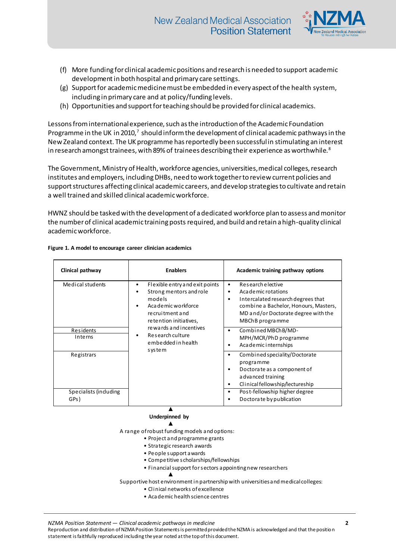

- (f) More funding for clinical academic positions and research is needed to support academic developmentin both hospital and primary care settings.
- (g) Support for academic medicine must be embedded in every aspect of the health system, including in primary care and at policy/funding levels.
- (h) Opportunities and support for teaching should be provided for clinical academics.

Lessons from international experience, such as the introduction of the Academic Foundation Programme in the UK in 2010, $^7$  should inform the development of clinical academic pathways in the New Zealand context. The UK programme has reportedly been successful in stimulating an interest in research amongst trainees, with 89% of trainees describing their experience as worthwhile. $8$ 

The Government, Ministry of Health, workforce agencies, universities, medical colleges, research institutes and employers, including DHBs, need to work together to review current policies and support structures affecting clinical academic careers, and develop strategiesto cultivate and retain a well trained and skilled clinical academic workforce.

HWNZ should be tasked with the development of a dedicated workforce plan to assess and monitor the number of clinical academic training postsrequired, and build and retain a high-quality clinical academic workforce.

| Clinical pathway              | <b>Enablers</b>                                                                                                                                                                                                                      | Academic training pathway options                                                                                                                                                                        |
|-------------------------------|--------------------------------------------------------------------------------------------------------------------------------------------------------------------------------------------------------------------------------------|----------------------------------------------------------------------------------------------------------------------------------------------------------------------------------------------------------|
| Medical students              | Flexible entry and exit points<br>٠<br>Strong mentors and role<br>models<br>Academic workforce<br>٠<br>recruitment and<br>retention initiatives,<br>re wards and incentives<br>Research culture<br>٠<br>embedded in health<br>system | Research e lective<br>$\bullet$<br>Academic rotations<br>٠<br>Intercalated research degrees that<br>٠<br>combine a Bachelor, Honours, Masters,<br>MD and/or Doctorate degree with the<br>MBChB programme |
| Residents<br><b>Interns</b>   |                                                                                                                                                                                                                                      | Combined MBChB/MD-<br>MPH/MCR/PhD programme<br>Academic internships<br>٠                                                                                                                                 |
| Registrars                    |                                                                                                                                                                                                                                      | Combined speciality/Doctorate<br>programme<br>Doctorate as a component of<br>a dvanced training<br>Clinical fellowship/lectureship                                                                       |
| Specialists (induding<br>GPs) |                                                                                                                                                                                                                                      | Post-fellowship higher degree<br>Doctora te by publication                                                                                                                                               |

#### **Figure 1. A model to encourage career clinician academics**

#### ▲  **Underpinned by** ▲

A range of robust funding models and options:

- Project and programme grants
- Strategic research awards
- People support awards

▲

- Competitive scholarships/fellowships
- Financial support for sectors appointing new researchers

Supportive host environment in partnership with universities and medical colleges:

- Clinical networks of excellence
- Academic health science centres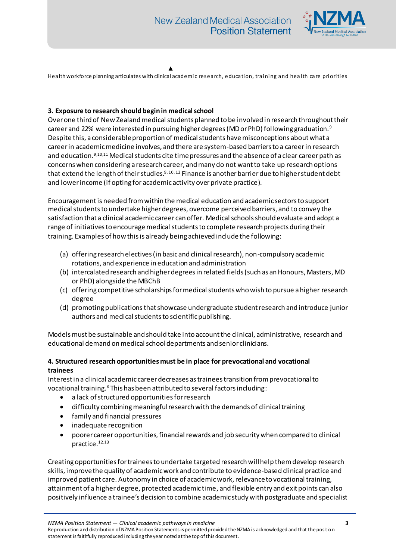

▲

Health workforce planning articulates with clinical academic research, education, training and health care priorities

#### **3. Exposure to research should begin in medical school**

Over one third of New Zealand medical students planned to be involved in research throughout their career and 22% were interested in pursuing higher degrees (MD or PhD) following graduation.<sup>9</sup> Despite this, a considerable proportion of medical students have misconceptions about what a career in academic medicine involves, and there are system-based barriers to a career in research and education.9,10,11 Medical students cite timepressures and the absence of a clear career path as concerns when considering a research career, and many do not want to take up research options that extend the length of their studies.<sup>9, 10, 12</sup> Finance is another barrier due to higher student debt and lower income (if opting for academic activity over private practice).

Encouragement is needed from within the medical education and academic sectors to support medical students to undertake higher degrees, overcome perceived barriers, and to convey the satisfaction that a clinical academic career can offer. Medical schools should evaluate and adopt a range of initiatives to encourage medical students to complete research projects during their training. Examples of how this is already being achieved include the following:

- (a) offering research electives (in basic and clinical research), non-compulsory academic rotations, and experience in education and administration
- (b) intercalated research and higher degrees in related fields (such as an Honours, Masters, MD or PhD) alongside the MBChB
- (c) offering competitive scholarships for medical students who wish to pursue a higher research degree
- (d) promoting publications thatshowcase undergraduate student research and introduce junior authors and medical students to scientific publishing.

Models must be sustainable and should take into account the clinical, administrative, research and educational demand on medical school departments and senior clinicians.

#### **4. Structured research opportunities must be in place for prevocational and vocational trainees**

Interest in a clinical academic career decreases as trainees transition from prevocational to vocational training.<sup>6</sup> This has been attributed to several factors including:

- a lack of structured opportunities for research
- difficulty combining meaningful research with the demands of clinical training
- family and financial pressures
- inadequate recognition
- poorer career opportunities, financial rewards and job security when compared to clinical practice.12,13

Creating opportunities for trainees to undertake targeted research will help them develop research skills, improve the quality of academic work and contribute to evidence-based clinical practice and improved patient care. Autonomy in choice of academic work, relevance to vocational training, attainment of a higher degree, protected academic time, and flexible entry and exit points can also positively influence a trainee's decision to combine academic study with postgraduate and specialist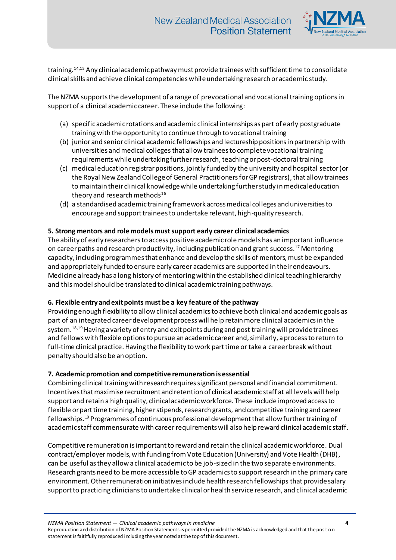

training.14,15 Any clinical academic pathway must provide trainees with sufficient time to consolidate clinical skills and achieve clinical competencies whileundertaking research or academic study.

The NZMA supports the development of a range of prevocational and vocational training options in support of a clinical academic career. These include the following:

- (a) specific academic rotations and academic clinical internships as part of early postgraduate training with the opportunity to continue through to vocational training
- (b) junior and senior clinical academic fellowships and lectureship positions in partnership with universities and medical colleges that allow trainees to complete vocational training requirements while undertaking further research, teaching or post-doctoral training
- (c) medical education registrar positions, jointly funded by the university and hospital sector(or the Royal New Zealand College of General Practitioners for GP registrars), that allow trainees to maintain their clinical knowledge while undertaking further study in medical education theory and research methods $16$
- (d) a standardised academic training framework across medical colleges and universities to encourage and support trainees to undertake relevant, high-quality research.

## **5. Strong mentors and role models must support early career clinical academics**

The ability of early researchers to access positive academic role models has an important influence on career paths and research productivity, including publication and grant success.<sup>17</sup> Mentoring capacity, including programmes that enhance and develop the skills of mentors, must be expanded and appropriately funded to ensure early career academics are supported in their endeavours. Medicine already has a long history of mentoring within the established clinical teaching hierarchy and this model should be translated to clinical academic training pathways.

## **6. Flexible entry and exit points must be a key feature of the pathway**

Providing enough flexibility to allow clinical academics to achieve both clinical and academic goals as part of an integrated career development process will help retain more clinical academics in the system.<sup>18,19</sup> Having a variety of entry and exit points during and post training will provide trainees and fellows with flexible options to pursue an academic career and, similarly, a process to return to full-time clinical practice. Having the flexibility to work part time or take a career break without penalty should also be an option.

## **7. Academic promotion and competitive remuneration is essential**

Combining clinical training with research requires significant personal and financial commitment. Incentives that maximise recruitment and retention of clinical academic staff at all levels will help support and retain a high quality, clinical academic workforce. These include improved access to flexible or part time training, higher stipends, research grants, and competitive training and career fellowships.<sup>19</sup> Programmes of continuous professional development that allow further training of academic staff commensurate with career requirements will also help reward clinical academic staff.

Competitive remuneration is important to reward and retain the clinical academic workforce. Dual contract/employermodels, with funding from Vote Education (University) and Vote Health (DHB), can be useful as they allow a clinical academic to be job-sized in the two separate environments. Research grants need to be more accessible to GP academics to support research in the primary care environment.Other remuneration initiatives include health research fellowships that provide salary support to practicing clinicians to undertake clinical or health service research, and clinical academic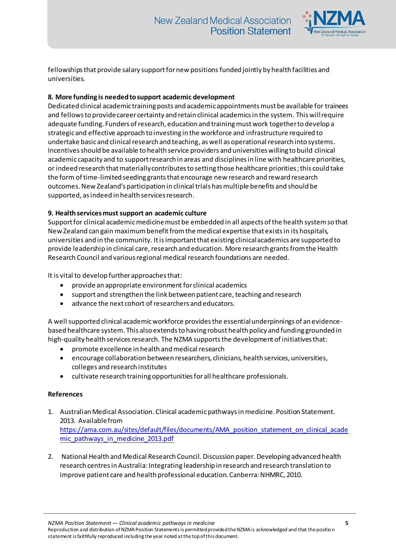

fellowships that provide salary support for new positions funded jointly by health facilities and universities.

# **8. More funding is needed to support academic development**

Dedicated clinical academic training posts and academic appointments must be available for trainees and fellows to provide career certainty and retain clinical academics in the system. This will require adequate funding. Funders of research, education and training must work together to develop a strategic and effective approach to investing in the workforce and infrastructure required to undertake basic and clinical research and teaching, as well as operational research into systems. Incentives should be available to health service providers and universities willing to build clinical academic capacity and to support research in areas and disciplines in line with healthcare priorities, or indeed research that materially contributes to setting those healthcare priorities; this could take the form of time-limited seeding grants that encourage new research and reward research outcomes.New Zealand's participation in clinical trials has multiple benefits and should be supported, as indeed in health services research.

## **9. Health services must support an academic culture**

Support for clinical academic medicine must be embedded in all aspects of the health system so that New Zealand can gain maximum benefit from the medical expertise that exists in its hospitals, universities and in the community. It is important that existing clinical academics are supported to provide leadership in clinical care, research and education. More research grants from the Health Research Council and various regional medical research foundations are needed.

It is vital to develop further approaches that:

- provide an appropriate environment for clinical academics
- support and strengthen the link between patient care, teaching and research
- advance the next cohort of researchers and educators.

A well supported clinical academic workforce providesthe essential underpinnings of an evidencebased healthcare system. This also extends to having robust health policy and funding grounded in high-quality health services research. The NZMA supports the development of initiatives that:

- promote excellence in health and medical research
- encourage collaboration between researchers, clinicians, health services, universities, colleges and research institutes
- cultivate research training opportunities for all healthcare professionals.

## **References**

- 1. Australian Medical Association. Clinical academic pathways in medicine. Position Statement. 2013. Available from [https://ama.com.au/sites/default/files/documents/AMA\\_position\\_statement\\_on\\_clinical\\_acade](https://ama.com.au/sites/default/files/documents/AMA_position_statement_on_clinical_academic_pathways_in_medicine_2013.pdf) [mic\\_pathways\\_in\\_medicine\\_2013.pdf](https://ama.com.au/sites/default/files/documents/AMA_position_statement_on_clinical_academic_pathways_in_medicine_2013.pdf)
- 2. National Health and Medical Research Council. Discussion paper. Developing advanced health research centres in Australia: Integrating leadership in research and research translation to improve patient care and health professional education. Canberra: NHMRC, 2010.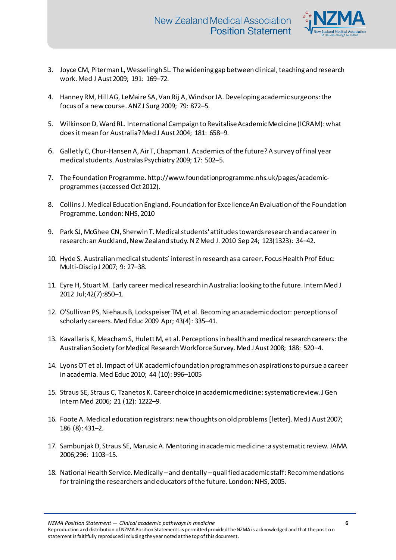

- 3. Joyce CM, Piterman L, Wesselingh SL. The widening gap between clinical, teaching and research work. Med J Aust 2009; 191: 169–72.
- 4. Hanney RM, Hill AG, LeMaire SA, Van Rij A, Windsor JA. Developing academic surgeons: the focus of a new course. ANZ J Surg 2009; 79: 872–5.
- 5. Wilkinson D, Ward RL. International Campaign to Revitalise Academic Medicine (ICRAM): what does itmean for Australia? Med J Aust 2004; 181: 658–9.
- 6. Galletly C, Chur-Hansen A, Air T, Chapman I. Academics of the future? A survey of final year medical students. Australas Psychiatry 2009; 17: 502–5.
- 7. The Foundation Programme. http://www.foundationprogramme.nhs.uk/pages/academicprogrammes (accessed Oct 2012).
- 8. Collins J. Medical Education England. Foundation for Excellence An Evaluation of the Foundation Programme. London: NHS, 2010
- 9. Park SJ, McGhee CN, Sherwin T. Medical students' attitudes towards research and a career in research: an Auckland, New Zealand study. N Z Med J. 2010 Sep 24; 123(1323): 34–42.
- 10. Hyde S. Australian medical students' interest in research as a career. Focus Health Prof Educ: Multi-Discip J 2007; 9: 27–38.
- 11. Eyre H, Stuart M. Early career medical research in Australia: looking to the future. Intern Med J 2012 Jul;42(7):850–1.
- 12. O'Sullivan PS, Niehaus B, Lockspeiser TM, et al. Becoming an academic doctor: perceptions of scholarly careers. Med Educ 2009 Apr; 43(4): 335–41.
- 13. Kavallaris K, Meacham S, Hulett M, et al. Perceptions in health and medical research careers: the Australian Society for Medical Research Workforce Survey. Med J Aust 2008; 188: 520–4.
- 14. Lyons OT et al. Impact of UK academic foundation programmes on aspirations to pursue a career in academia. Med Educ 2010; 44 (10): 996–1005
- 15. Straus SE, Straus C, Tzanetos K. Career choice in academic medicine: systematic review. J Gen Intern Med 2006; 21 (12): 1222–9.
- 16. Foote A. Medical education registrars: new thoughts on old problems [letter]. Med J Aust 2007; 186 (8): 431–2.
- 17. Sambunjak D, Straus SE, Marusic A. Mentoring in academic medicine: a systematic review. JAMA 2006;296: 1103–15.
- 18. National Health Service. Medically –and dentally –qualified academic staff: Recommendations for training the researchers and educators of the future. London: NHS, 2005.